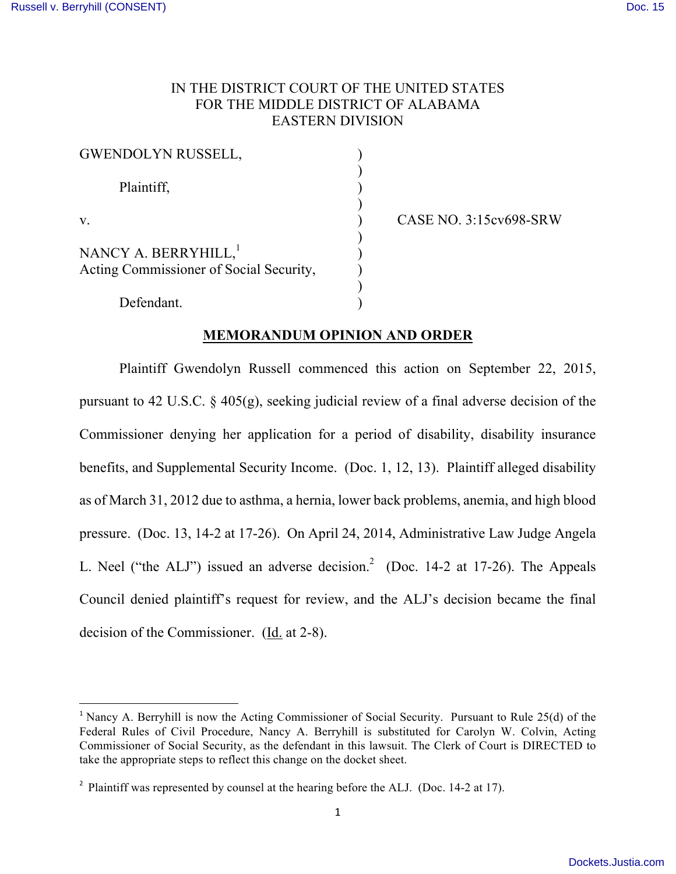## IN THE DISTRICT COURT OF THE UNITED STATES FOR THE MIDDLE DISTRICT OF ALABAMA EASTERN DIVISION

| <b>GWENDOLYN RUSSELL,</b>                                                   |  |
|-----------------------------------------------------------------------------|--|
| Plaintiff,                                                                  |  |
| V                                                                           |  |
| NANCY A. BERRYHILL, <sup>1</sup><br>Acting Commissioner of Social Security, |  |
| Defendant.                                                                  |  |

v. ) CASE NO. 3:15cv698-SRW

# **MEMORANDUM OPINION AND ORDER**

Plaintiff Gwendolyn Russell commenced this action on September 22, 2015, pursuant to 42 U.S.C. § 405(g), seeking judicial review of a final adverse decision of the Commissioner denying her application for a period of disability, disability insurance benefits, and Supplemental Security Income. (Doc. 1, 12, 13). Plaintiff alleged disability as of March 31, 2012 due to asthma, a hernia, lower back problems, anemia, and high blood pressure. (Doc. 13, 14-2 at 17-26). On April 24, 2014, Administrative Law Judge Angela L. Neel ("the ALJ") issued an adverse decision.<sup>2</sup> (Doc. 14-2 at 17-26). The Appeals Council denied plaintiff's request for review, and the ALJ's decision became the final decision of the Commissioner. (Id. at 2-8).

 

<sup>&</sup>lt;sup>1</sup> Nancy A. Berryhill is now the Acting Commissioner of Social Security. Pursuant to Rule 25(d) of the Federal Rules of Civil Procedure, Nancy A. Berryhill is substituted for Carolyn W. Colvin, Acting Commissioner of Social Security, as the defendant in this lawsuit. The Clerk of Court is DIRECTED to take the appropriate steps to reflect this change on the docket sheet.

<sup>&</sup>lt;sup>2</sup> Plaintiff was represented by counsel at the hearing before the ALJ. (Doc. 14-2 at 17).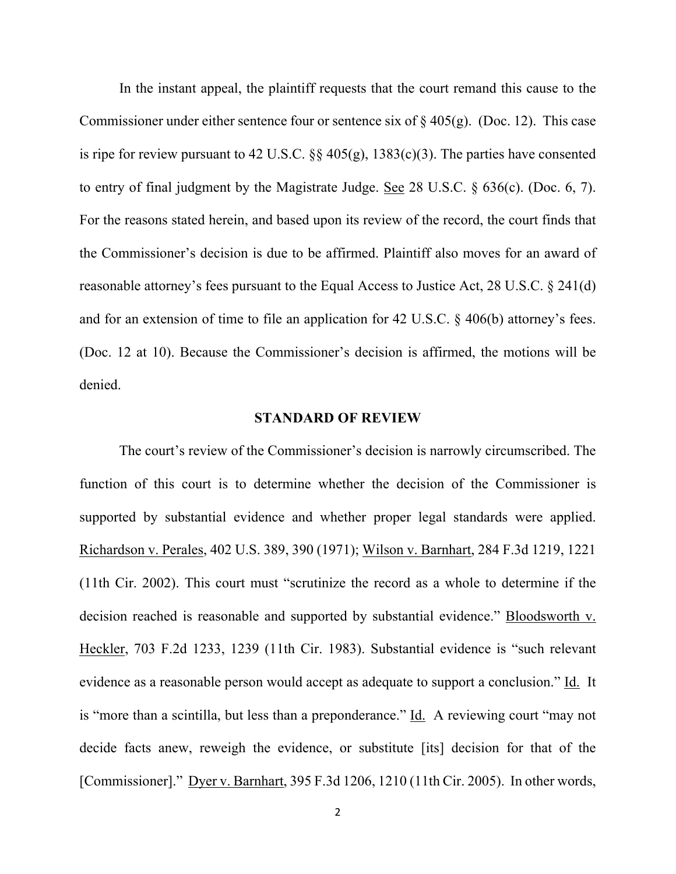In the instant appeal, the plaintiff requests that the court remand this cause to the Commissioner under either sentence four or sentence six of  $\S 405(g)$ . (Doc. 12). This case is ripe for review pursuant to 42 U.S.C. §§ 405(g), 1383(c)(3). The parties have consented to entry of final judgment by the Magistrate Judge. See 28 U.S.C. § 636(c). (Doc. 6, 7). For the reasons stated herein, and based upon its review of the record, the court finds that the Commissioner's decision is due to be affirmed. Plaintiff also moves for an award of reasonable attorney's fees pursuant to the Equal Access to Justice Act, 28 U.S.C. § 241(d) and for an extension of time to file an application for 42 U.S.C. § 406(b) attorney's fees. (Doc. 12 at 10). Because the Commissioner's decision is affirmed, the motions will be denied.

#### **STANDARD OF REVIEW**

The court's review of the Commissioner's decision is narrowly circumscribed. The function of this court is to determine whether the decision of the Commissioner is supported by substantial evidence and whether proper legal standards were applied. Richardson v. Perales, 402 U.S. 389, 390 (1971); Wilson v. Barnhart, 284 F.3d 1219, 1221 (11th Cir. 2002). This court must "scrutinize the record as a whole to determine if the decision reached is reasonable and supported by substantial evidence." Bloodsworth v. Heckler, 703 F.2d 1233, 1239 (11th Cir. 1983). Substantial evidence is "such relevant evidence as a reasonable person would accept as adequate to support a conclusion." Id. It is "more than a scintilla, but less than a preponderance." Id. A reviewing court "may not decide facts anew, reweigh the evidence, or substitute [its] decision for that of the [Commissioner]." Dyer v. Barnhart, 395 F.3d 1206, 1210 (11th Cir. 2005). In other words,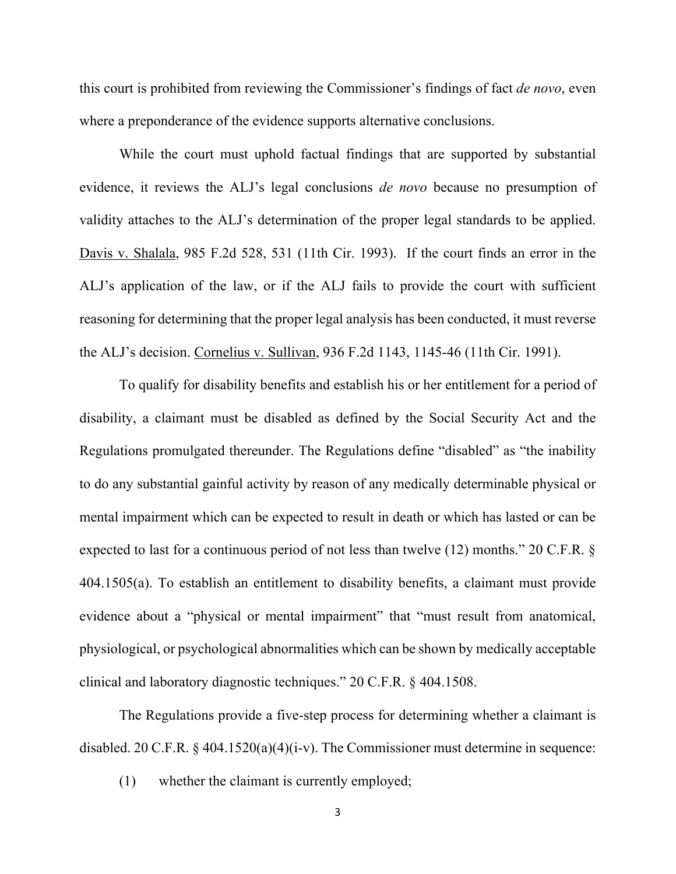this court is prohibited from reviewing the Commissioner's findings of fact *de novo*, even where a preponderance of the evidence supports alternative conclusions.

While the court must uphold factual findings that are supported by substantial evidence, it reviews the ALJ's legal conclusions *de novo* because no presumption of validity attaches to the ALJ's determination of the proper legal standards to be applied. Davis v. Shalala, 985 F.2d 528, 531 (11th Cir. 1993). If the court finds an error in the ALJ's application of the law, or if the ALJ fails to provide the court with sufficient reasoning for determining that the proper legal analysis has been conducted, it must reverse the ALJ's decision. Cornelius v. Sullivan, 936 F.2d 1143, 1145-46 (11th Cir. 1991).

To qualify for disability benefits and establish his or her entitlement for a period of disability, a claimant must be disabled as defined by the Social Security Act and the Regulations promulgated thereunder. The Regulations define "disabled" as "the inability to do any substantial gainful activity by reason of any medically determinable physical or mental impairment which can be expected to result in death or which has lasted or can be expected to last for a continuous period of not less than twelve (12) months." 20 C.F.R. § 404.1505(a). To establish an entitlement to disability benefits, a claimant must provide evidence about a "physical or mental impairment" that "must result from anatomical, physiological, or psychological abnormalities which can be shown by medically acceptable clinical and laboratory diagnostic techniques." 20 C.F.R. § 404.1508.

The Regulations provide a five-step process for determining whether a claimant is disabled. 20 C.F.R.  $\frac{6}{9}$  404.1520(a)(4)(i-v). The Commissioner must determine in sequence:

(1) whether the claimant is currently employed;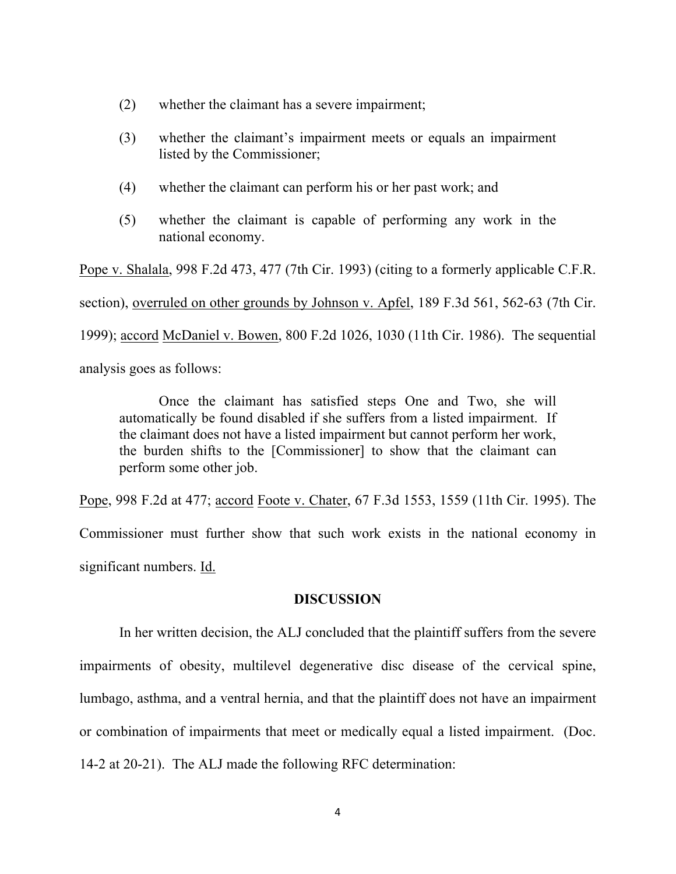- (2) whether the claimant has a severe impairment;
- (3) whether the claimant's impairment meets or equals an impairment listed by the Commissioner;
- (4) whether the claimant can perform his or her past work; and
- (5) whether the claimant is capable of performing any work in the national economy.

Pope v. Shalala, 998 F.2d 473, 477 (7th Cir. 1993) (citing to a formerly applicable C.F.R. section), overruled on other grounds by Johnson v. Apfel, 189 F.3d 561, 562-63 (7th Cir. 1999); accord McDaniel v. Bowen, 800 F.2d 1026, 1030 (11th Cir. 1986). The sequential

analysis goes as follows:

Once the claimant has satisfied steps One and Two, she will automatically be found disabled if she suffers from a listed impairment. If the claimant does not have a listed impairment but cannot perform her work, the burden shifts to the [Commissioner] to show that the claimant can perform some other job.

Pope, 998 F.2d at 477; accord Foote v. Chater, 67 F.3d 1553, 1559 (11th Cir. 1995). The Commissioner must further show that such work exists in the national economy in significant numbers. Id.

#### **DISCUSSION**

In her written decision, the ALJ concluded that the plaintiff suffers from the severe impairments of obesity, multilevel degenerative disc disease of the cervical spine, lumbago, asthma, and a ventral hernia, and that the plaintiff does not have an impairment or combination of impairments that meet or medically equal a listed impairment. (Doc. 14-2 at 20-21). The ALJ made the following RFC determination: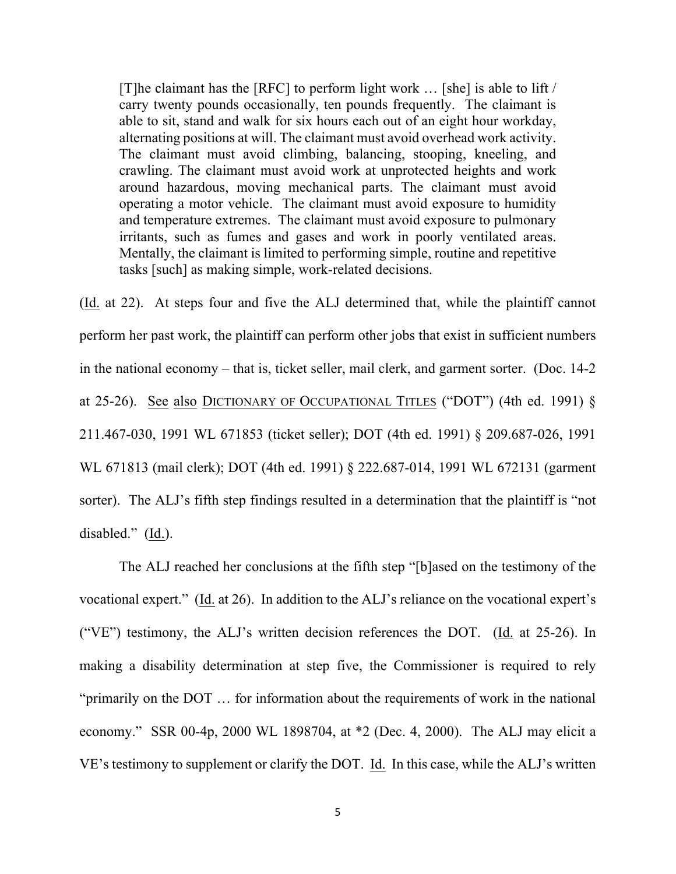[T]he claimant has the [RFC] to perform light work … [she] is able to lift / carry twenty pounds occasionally, ten pounds frequently. The claimant is able to sit, stand and walk for six hours each out of an eight hour workday, alternating positions at will. The claimant must avoid overhead work activity. The claimant must avoid climbing, balancing, stooping, kneeling, and crawling. The claimant must avoid work at unprotected heights and work around hazardous, moving mechanical parts. The claimant must avoid operating a motor vehicle. The claimant must avoid exposure to humidity and temperature extremes. The claimant must avoid exposure to pulmonary irritants, such as fumes and gases and work in poorly ventilated areas. Mentally, the claimant is limited to performing simple, routine and repetitive tasks [such] as making simple, work-related decisions.

(Id. at 22). At steps four and five the ALJ determined that, while the plaintiff cannot perform her past work, the plaintiff can perform other jobs that exist in sufficient numbers in the national economy – that is, ticket seller, mail clerk, and garment sorter. (Doc. 14-2 at 25-26). See also DICTIONARY OF OCCUPATIONAL TITLES ("DOT") (4th ed. 1991) § 211.467-030, 1991 WL 671853 (ticket seller); DOT (4th ed. 1991) § 209.687-026, 1991 WL 671813 (mail clerk); DOT (4th ed. 1991) § 222.687-014, 1991 WL 672131 (garment sorter). The ALJ's fifth step findings resulted in a determination that the plaintiff is "not disabled." (Id.).

The ALJ reached her conclusions at the fifth step "[b]ased on the testimony of the vocational expert." (Id. at 26). In addition to the ALJ's reliance on the vocational expert's ("VE") testimony, the ALJ's written decision references the DOT. ( $Id$  at 25-26). In making a disability determination at step five, the Commissioner is required to rely "primarily on the DOT … for information about the requirements of work in the national economy." SSR 00-4p, 2000 WL 1898704, at \*2 (Dec. 4, 2000). The ALJ may elicit a VE's testimony to supplement or clarify the DOT. Id. In this case, while the ALJ's written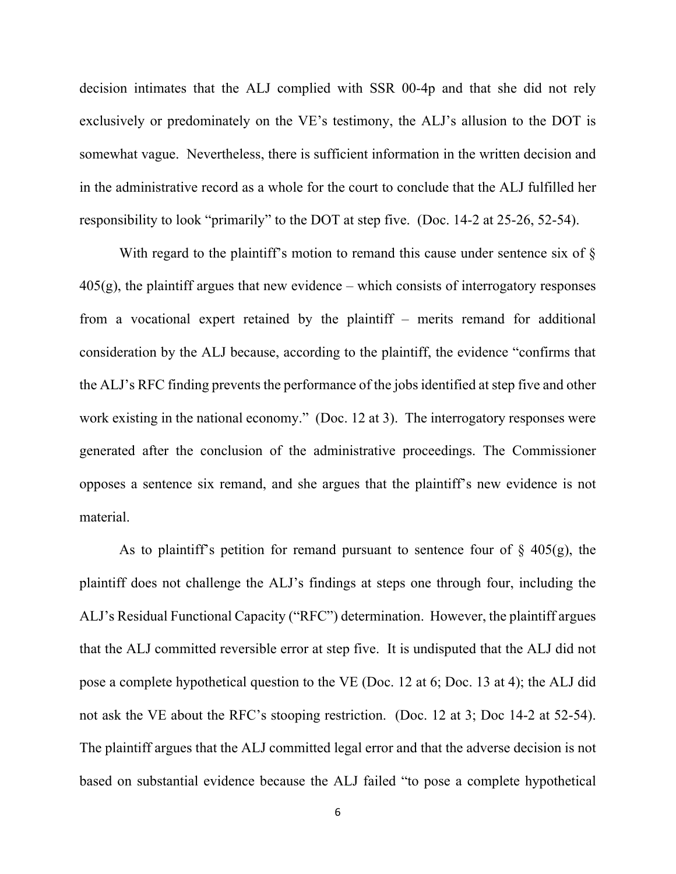decision intimates that the ALJ complied with SSR 00-4p and that she did not rely exclusively or predominately on the VE's testimony, the ALJ's allusion to the DOT is somewhat vague. Nevertheless, there is sufficient information in the written decision and in the administrative record as a whole for the court to conclude that the ALJ fulfilled her responsibility to look "primarily" to the DOT at step five. (Doc. 14-2 at 25-26, 52-54).

With regard to the plaintiff's motion to remand this cause under sentence six of §  $405(g)$ , the plaintiff argues that new evidence – which consists of interrogatory responses from a vocational expert retained by the plaintiff – merits remand for additional consideration by the ALJ because, according to the plaintiff, the evidence "confirms that the ALJ's RFC finding prevents the performance of the jobs identified at step five and other work existing in the national economy." (Doc. 12 at 3). The interrogatory responses were generated after the conclusion of the administrative proceedings. The Commissioner opposes a sentence six remand, and she argues that the plaintiff's new evidence is not material.

As to plaintiff's petition for remand pursuant to sentence four of  $\S$  405(g), the plaintiff does not challenge the ALJ's findings at steps one through four, including the ALJ's Residual Functional Capacity ("RFC") determination. However, the plaintiff argues that the ALJ committed reversible error at step five. It is undisputed that the ALJ did not pose a complete hypothetical question to the VE (Doc. 12 at 6; Doc. 13 at 4); the ALJ did not ask the VE about the RFC's stooping restriction. (Doc. 12 at 3; Doc 14-2 at 52-54). The plaintiff argues that the ALJ committed legal error and that the adverse decision is not based on substantial evidence because the ALJ failed "to pose a complete hypothetical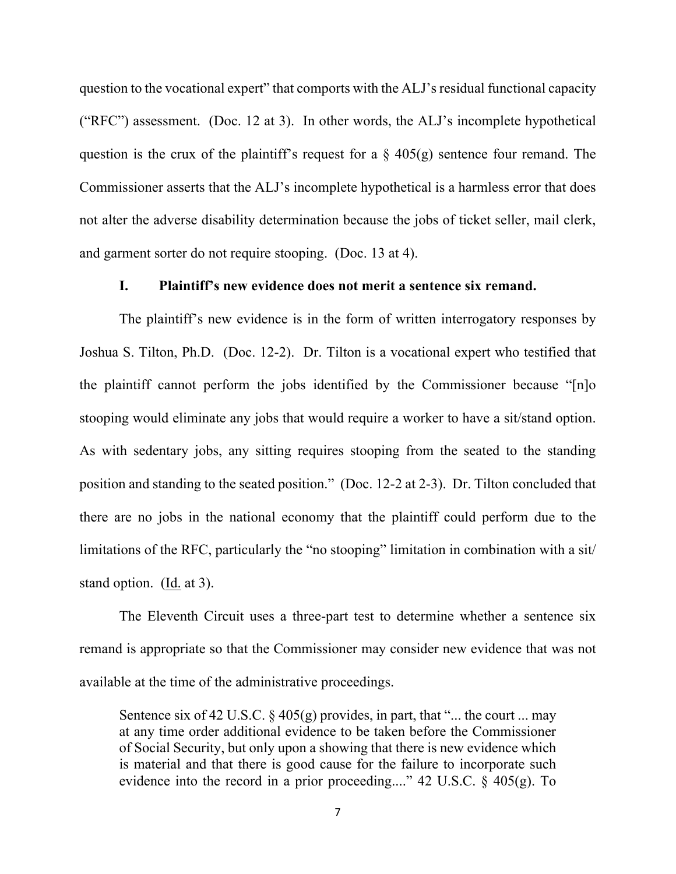question to the vocational expert" that comports with the ALJ's residual functional capacity ("RFC") assessment. (Doc. 12 at 3). In other words, the ALJ's incomplete hypothetical question is the crux of the plaintiff's request for a  $\S$  405(g) sentence four remand. The Commissioner asserts that the ALJ's incomplete hypothetical is a harmless error that does not alter the adverse disability determination because the jobs of ticket seller, mail clerk, and garment sorter do not require stooping. (Doc. 13 at 4).

## **I. Plaintiff's new evidence does not merit a sentence six remand.**

The plaintiff's new evidence is in the form of written interrogatory responses by Joshua S. Tilton, Ph.D. (Doc. 12-2). Dr. Tilton is a vocational expert who testified that the plaintiff cannot perform the jobs identified by the Commissioner because "[n]o stooping would eliminate any jobs that would require a worker to have a sit/stand option. As with sedentary jobs, any sitting requires stooping from the seated to the standing position and standing to the seated position." (Doc. 12-2 at 2-3). Dr. Tilton concluded that there are no jobs in the national economy that the plaintiff could perform due to the limitations of the RFC, particularly the "no stooping" limitation in combination with a sit/ stand option. (Id. at 3).

The Eleventh Circuit uses a three-part test to determine whether a sentence six remand is appropriate so that the Commissioner may consider new evidence that was not available at the time of the administrative proceedings.

Sentence six of 42 U.S.C.  $\S$  405(g) provides, in part, that "... the court ... may at any time order additional evidence to be taken before the Commissioner of Social Security, but only upon a showing that there is new evidence which is material and that there is good cause for the failure to incorporate such evidence into the record in a prior proceeding...." 42 U.S.C.  $\S$  405(g). To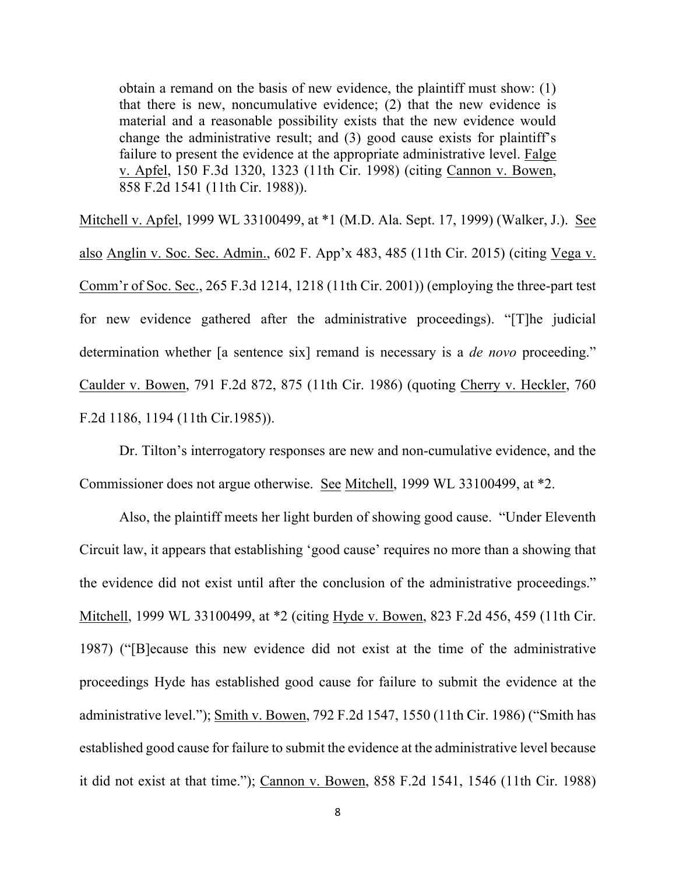obtain a remand on the basis of new evidence, the plaintiff must show: (1) that there is new, noncumulative evidence; (2) that the new evidence is material and a reasonable possibility exists that the new evidence would change the administrative result; and (3) good cause exists for plaintiff's failure to present the evidence at the appropriate administrative level. Falge v. Apfel, 150 F.3d 1320, 1323 (11th Cir. 1998) (citing Cannon v. Bowen, 858 F.2d 1541 (11th Cir. 1988)).

Mitchell v. Apfel, 1999 WL 33100499, at \*1 (M.D. Ala. Sept. 17, 1999) (Walker, J.). See also Anglin v. Soc. Sec. Admin., 602 F. App'x 483, 485 (11th Cir. 2015) (citing Vega v. Comm'r of Soc. Sec., 265 F.3d 1214, 1218 (11th Cir. 2001)) (employing the three-part test for new evidence gathered after the administrative proceedings). "[T]he judicial determination whether [a sentence six] remand is necessary is a *de novo* proceeding." Caulder v. Bowen, 791 F.2d 872, 875 (11th Cir. 1986) (quoting Cherry v. Heckler, 760 F.2d 1186, 1194 (11th Cir.1985)).

Dr. Tilton's interrogatory responses are new and non-cumulative evidence, and the Commissioner does not argue otherwise. See Mitchell, 1999 WL 33100499, at \*2.

Also, the plaintiff meets her light burden of showing good cause. "Under Eleventh Circuit law, it appears that establishing 'good cause' requires no more than a showing that the evidence did not exist until after the conclusion of the administrative proceedings." Mitchell, 1999 WL 33100499, at \*2 (citing Hyde v. Bowen, 823 F.2d 456, 459 (11th Cir. 1987) ("[B]ecause this new evidence did not exist at the time of the administrative proceedings Hyde has established good cause for failure to submit the evidence at the administrative level."); Smith v. Bowen, 792 F.2d 1547, 1550 (11th Cir. 1986) ("Smith has established good cause for failure to submit the evidence at the administrative level because it did not exist at that time."); Cannon v. Bowen, 858 F.2d 1541, 1546 (11th Cir. 1988)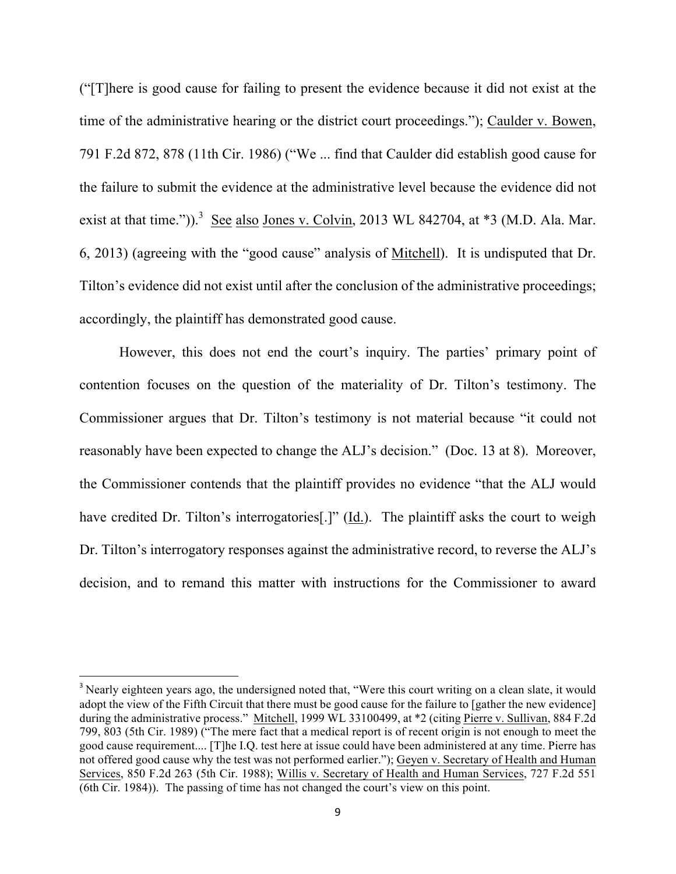("[T]here is good cause for failing to present the evidence because it did not exist at the time of the administrative hearing or the district court proceedings."); Caulder v. Bowen, 791 F.2d 872, 878 (11th Cir. 1986) ("We ... find that Caulder did establish good cause for the failure to submit the evidence at the administrative level because the evidence did not exist at that time.")).<sup>3</sup> See also Jones v. Colvin, 2013 WL 842704, at  $*3$  (M.D. Ala. Mar. 6, 2013) (agreeing with the "good cause" analysis of Mitchell). It is undisputed that Dr. Tilton's evidence did not exist until after the conclusion of the administrative proceedings; accordingly, the plaintiff has demonstrated good cause.

However, this does not end the court's inquiry. The parties' primary point of contention focuses on the question of the materiality of Dr. Tilton's testimony. The Commissioner argues that Dr. Tilton's testimony is not material because "it could not reasonably have been expected to change the ALJ's decision." (Doc. 13 at 8). Moreover, the Commissioner contends that the plaintiff provides no evidence "that the ALJ would have credited Dr. Tilton's interrogatories. [1] (Id.). The plaintiff asks the court to weigh Dr. Tilton's interrogatory responses against the administrative record, to reverse the ALJ's decision, and to remand this matter with instructions for the Commissioner to award

<u> 1989 - Johann Barn, mars eta bat erroman erroman erroman erroman erroman erroman erroman erroman erroman err</u>

<sup>&</sup>lt;sup>3</sup> Nearly eighteen years ago, the undersigned noted that, "Were this court writing on a clean slate, it would adopt the view of the Fifth Circuit that there must be good cause for the failure to [gather the new evidence] during the administrative process." Mitchell, 1999 WL 33100499, at \*2 (citing Pierre v. Sullivan, 884 F.2d) 799, 803 (5th Cir. 1989) ("The mere fact that a medical report is of recent origin is not enough to meet the good cause requirement.... [T]he I.Q. test here at issue could have been administered at any time. Pierre has not offered good cause why the test was not performed earlier."); Geyen v. Secretary of Health and Human Services, 850 F.2d 263 (5th Cir. 1988); Willis v. Secretary of Health and Human Services, 727 F.2d 551 (6th Cir. 1984)). The passing of time has not changed the court's view on this point.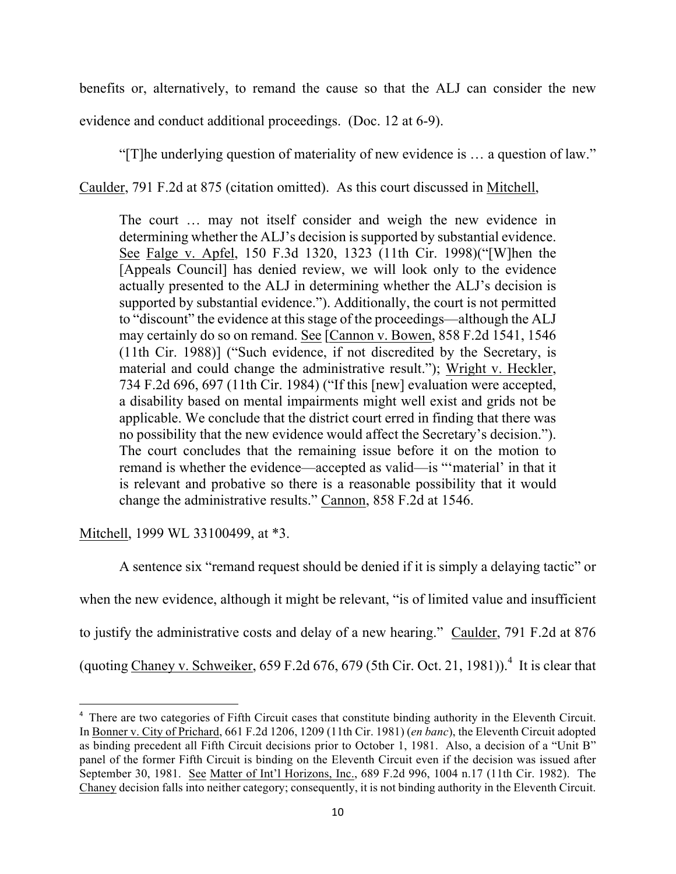benefits or, alternatively, to remand the cause so that the ALJ can consider the new evidence and conduct additional proceedings. (Doc. 12 at 6-9).

"[T]he underlying question of materiality of new evidence is … a question of law."

Caulder, 791 F.2d at 875 (citation omitted). As this court discussed in Mitchell,

The court … may not itself consider and weigh the new evidence in determining whether the ALJ's decision is supported by substantial evidence. See Falge v. Apfel, 150 F.3d 1320, 1323 (11th Cir. 1998)("[W]hen the [Appeals Council] has denied review, we will look only to the evidence actually presented to the ALJ in determining whether the ALJ's decision is supported by substantial evidence."). Additionally, the court is not permitted to "discount" the evidence at this stage of the proceedings—although the ALJ may certainly do so on remand. See [Cannon v. Bowen, 858 F.2d 1541, 1546 (11th Cir. 1988)] ("Such evidence, if not discredited by the Secretary, is material and could change the administrative result."); Wright v. Heckler, 734 F.2d 696, 697 (11th Cir. 1984) ("If this [new] evaluation were accepted, a disability based on mental impairments might well exist and grids not be applicable. We conclude that the district court erred in finding that there was no possibility that the new evidence would affect the Secretary's decision."). The court concludes that the remaining issue before it on the motion to remand is whether the evidence—accepted as valid—is "'material' in that it is relevant and probative so there is a reasonable possibility that it would change the administrative results." Cannon, 858 F.2d at 1546.

Mitchell, 1999 WL 33100499, at \*3.

<u> 1989 - Johann Barn, mars eta bat erroman erroman erroman erroman erroman erroman erroman erroman erroman err</u>

A sentence six "remand request should be denied if it is simply a delaying tactic" or when the new evidence, although it might be relevant, "is of limited value and insufficient to justify the administrative costs and delay of a new hearing." Caulder, 791 F.2d at 876 (quoting Chaney v. Schweiker, 659 F.2d 676, 679 (5th Cir. Oct. 21, 1981)).<sup>4</sup> It is clear that

<sup>&</sup>lt;sup>4</sup> There are two categories of Fifth Circuit cases that constitute binding authority in the Eleventh Circuit. In Bonner v. City of Prichard, 661 F.2d 1206, 1209 (11th Cir. 1981) (*en banc*), the Eleventh Circuit adopted as binding precedent all Fifth Circuit decisions prior to October 1, 1981. Also, a decision of a "Unit B" panel of the former Fifth Circuit is binding on the Eleventh Circuit even if the decision was issued after September 30, 1981. See Matter of Int'l Horizons, Inc., 689 F.2d 996, 1004 n.17 (11th Cir. 1982). The Chaney decision falls into neither category; consequently, it is not binding authority in the Eleventh Circuit.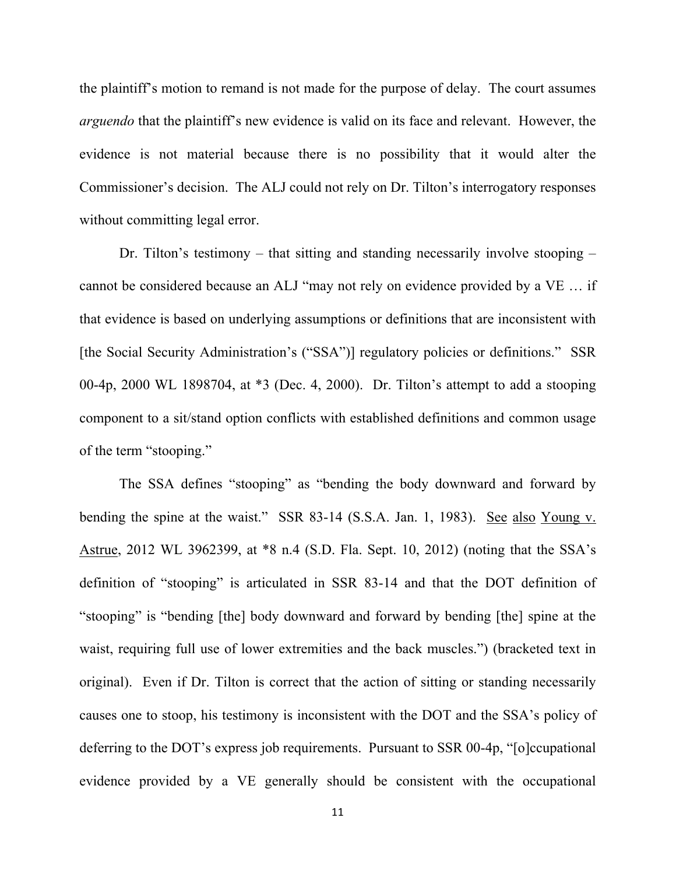the plaintiff's motion to remand is not made for the purpose of delay. The court assumes *arguendo* that the plaintiff's new evidence is valid on its face and relevant. However, the evidence is not material because there is no possibility that it would alter the Commissioner's decision. The ALJ could not rely on Dr. Tilton's interrogatory responses without committing legal error.

Dr. Tilton's testimony – that sitting and standing necessarily involve stooping – cannot be considered because an ALJ "may not rely on evidence provided by a VE … if that evidence is based on underlying assumptions or definitions that are inconsistent with [the Social Security Administration's ("SSA")] regulatory policies or definitions." SSR 00-4p, 2000 WL 1898704, at \*3 (Dec. 4, 2000). Dr. Tilton's attempt to add a stooping component to a sit/stand option conflicts with established definitions and common usage of the term "stooping."

The SSA defines "stooping" as "bending the body downward and forward by bending the spine at the waist." SSR 83-14 (S.S.A. Jan. 1, 1983). See also Young v. Astrue, 2012 WL 3962399, at \*8 n.4 (S.D. Fla. Sept. 10, 2012) (noting that the SSA's definition of "stooping" is articulated in SSR 83-14 and that the DOT definition of "stooping" is "bending [the] body downward and forward by bending [the] spine at the waist, requiring full use of lower extremities and the back muscles.") (bracketed text in original). Even if Dr. Tilton is correct that the action of sitting or standing necessarily causes one to stoop, his testimony is inconsistent with the DOT and the SSA's policy of deferring to the DOT's express job requirements. Pursuant to SSR 00-4p, "[o]ccupational evidence provided by a VE generally should be consistent with the occupational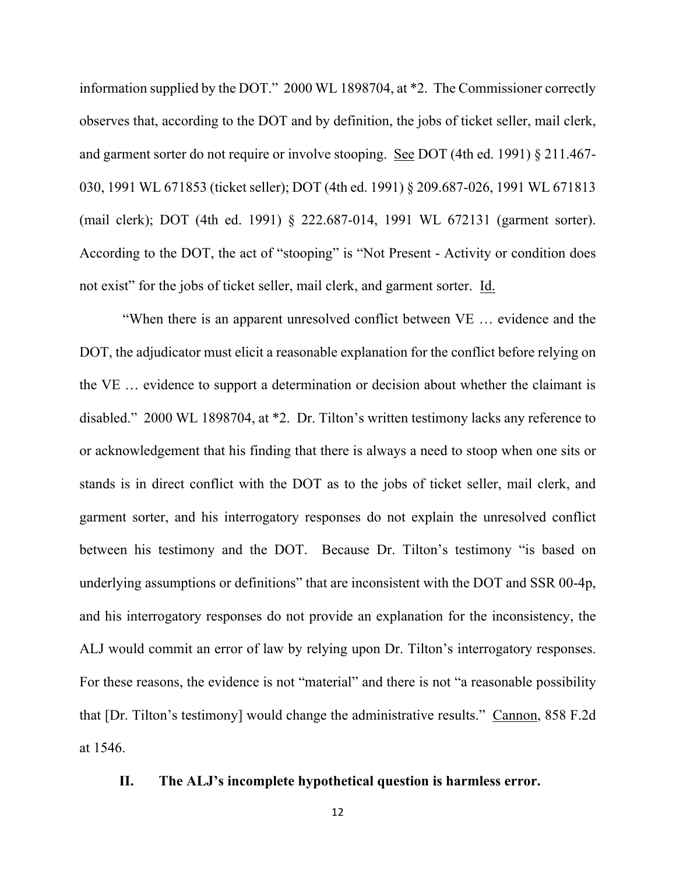information supplied by the DOT." 2000 WL 1898704, at \*2. The Commissioner correctly observes that, according to the DOT and by definition, the jobs of ticket seller, mail clerk, and garment sorter do not require or involve stooping. See DOT (4th ed. 1991) § 211.467- 030, 1991 WL 671853 (ticket seller); DOT (4th ed. 1991) § 209.687-026, 1991 WL 671813 (mail clerk); DOT (4th ed. 1991) § 222.687-014, 1991 WL 672131 (garment sorter). According to the DOT, the act of "stooping" is "Not Present - Activity or condition does not exist" for the jobs of ticket seller, mail clerk, and garment sorter. Id.

"When there is an apparent unresolved conflict between VE … evidence and the DOT, the adjudicator must elicit a reasonable explanation for the conflict before relying on the VE … evidence to support a determination or decision about whether the claimant is disabled." 2000 WL 1898704, at \*2. Dr. Tilton's written testimony lacks any reference to or acknowledgement that his finding that there is always a need to stoop when one sits or stands is in direct conflict with the DOT as to the jobs of ticket seller, mail clerk, and garment sorter, and his interrogatory responses do not explain the unresolved conflict between his testimony and the DOT. Because Dr. Tilton's testimony "is based on underlying assumptions or definitions" that are inconsistent with the DOT and SSR 00-4p, and his interrogatory responses do not provide an explanation for the inconsistency, the ALJ would commit an error of law by relying upon Dr. Tilton's interrogatory responses. For these reasons, the evidence is not "material" and there is not "a reasonable possibility that [Dr. Tilton's testimony] would change the administrative results." Cannon, 858 F.2d at 1546.

### **II. The ALJ's incomplete hypothetical question is harmless error.**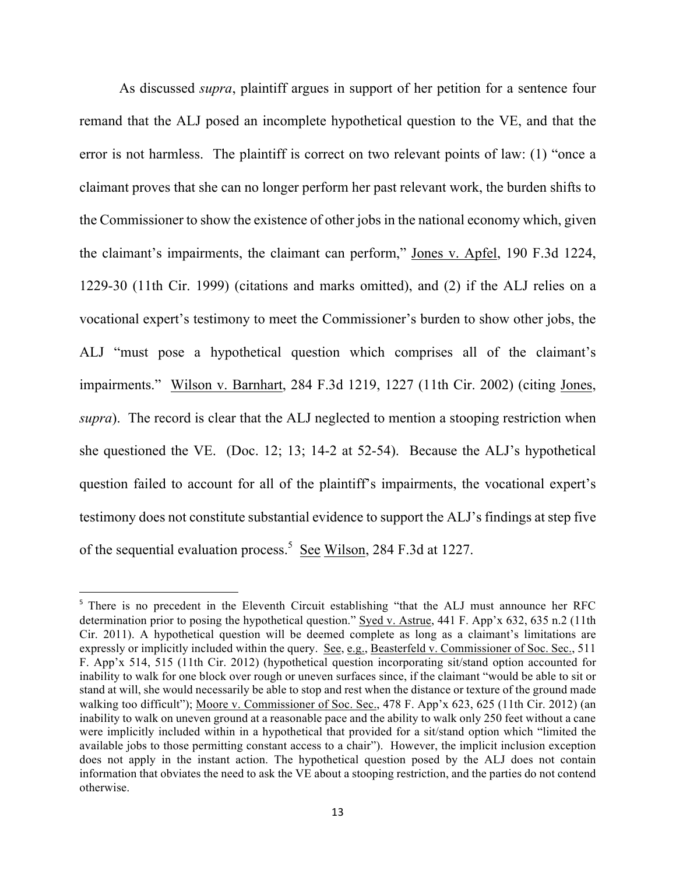As discussed *supra*, plaintiff argues in support of her petition for a sentence four remand that the ALJ posed an incomplete hypothetical question to the VE, and that the error is not harmless. The plaintiff is correct on two relevant points of law: (1) "once a claimant proves that she can no longer perform her past relevant work, the burden shifts to the Commissioner to show the existence of other jobs in the national economy which, given the claimant's impairments, the claimant can perform," Jones v. Apfel, 190 F.3d 1224, 1229-30 (11th Cir. 1999) (citations and marks omitted), and (2) if the ALJ relies on a vocational expert's testimony to meet the Commissioner's burden to show other jobs, the ALJ "must pose a hypothetical question which comprises all of the claimant's impairments." Wilson v. Barnhart, 284 F.3d 1219, 1227 (11th Cir. 2002) (citing Jones, *supra*). The record is clear that the ALJ neglected to mention a stooping restriction when she questioned the VE. (Doc. 12; 13; 14-2 at 52-54). Because the ALJ's hypothetical question failed to account for all of the plaintiff's impairments, the vocational expert's testimony does not constitute substantial evidence to support the ALJ's findings at step five of the sequential evaluation process.<sup>5</sup> See Wilson, 284 F.3d at 1227.

<u> 1989 - Johann Barn, mars eta bat erroman erroman erroman erroman erroman erroman erroman erroman erroman err</u>

<sup>&</sup>lt;sup>5</sup> There is no precedent in the Eleventh Circuit establishing "that the ALJ must announce her RFC determination prior to posing the hypothetical question." Syed v. Astrue, 441 F. App'x 632, 635 n.2 (11th Cir. 2011). A hypothetical question will be deemed complete as long as a claimant's limitations are expressly or implicitly included within the query. See, e.g., Beasterfeld v. Commissioner of Soc. Sec., 511 F. App'x 514, 515 (11th Cir. 2012) (hypothetical question incorporating sit/stand option accounted for inability to walk for one block over rough or uneven surfaces since, if the claimant "would be able to sit or stand at will, she would necessarily be able to stop and rest when the distance or texture of the ground made walking too difficult"); Moore v. Commissioner of Soc. Sec., 478 F. App'x 623, 625 (11th Cir. 2012) (an inability to walk on uneven ground at a reasonable pace and the ability to walk only 250 feet without a cane were implicitly included within in a hypothetical that provided for a sit/stand option which "limited the available jobs to those permitting constant access to a chair"). However, the implicit inclusion exception does not apply in the instant action. The hypothetical question posed by the ALJ does not contain information that obviates the need to ask the VE about a stooping restriction, and the parties do not contend otherwise.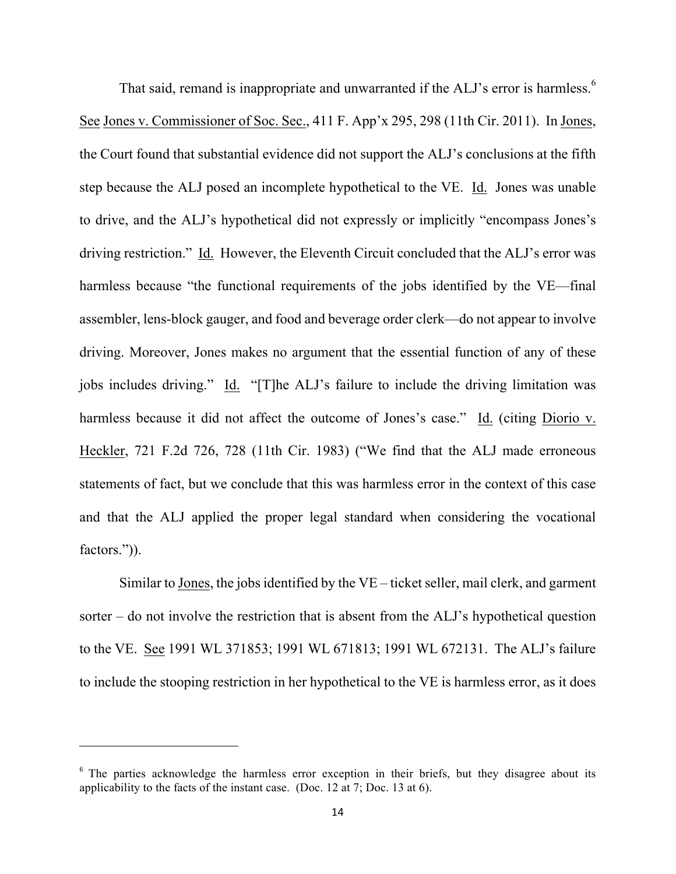That said, remand is inappropriate and unwarranted if the ALJ's error is harmless.<sup>6</sup> See Jones v. Commissioner of Soc. Sec., 411 F. App'x 295, 298 (11th Cir. 2011). In Jones, the Court found that substantial evidence did not support the ALJ's conclusions at the fifth step because the ALJ posed an incomplete hypothetical to the VE. Id. Jones was unable to drive, and the ALJ's hypothetical did not expressly or implicitly "encompass Jones's driving restriction." Id. However, the Eleventh Circuit concluded that the ALJ's error was harmless because "the functional requirements of the jobs identified by the VE—final assembler, lens-block gauger, and food and beverage order clerk—do not appear to involve driving. Moreover, Jones makes no argument that the essential function of any of these jobs includes driving." Id. "[T]he ALJ's failure to include the driving limitation was harmless because it did not affect the outcome of Jones's case." Id. (citing Diorio v. Heckler, 721 F.2d 726, 728 (11th Cir. 1983) ("We find that the ALJ made erroneous statements of fact, but we conclude that this was harmless error in the context of this case and that the ALJ applied the proper legal standard when considering the vocational factors.")).

Similar to Jones, the jobs identified by the VE – ticket seller, mail clerk, and garment sorter – do not involve the restriction that is absent from the ALJ's hypothetical question to the VE. See 1991 WL 371853; 1991 WL 671813; 1991 WL 672131. The ALJ's failure to include the stooping restriction in her hypothetical to the VE is harmless error, as it does

<u> 1989 - Johann Barn, mars eta bat erroman erroman erroman erroman erroman erroman erroman erroman erroman err</u>

<sup>&</sup>lt;sup>6</sup> The parties acknowledge the harmless error exception in their briefs, but they disagree about its applicability to the facts of the instant case. (Doc. 12 at 7; Doc. 13 at 6).